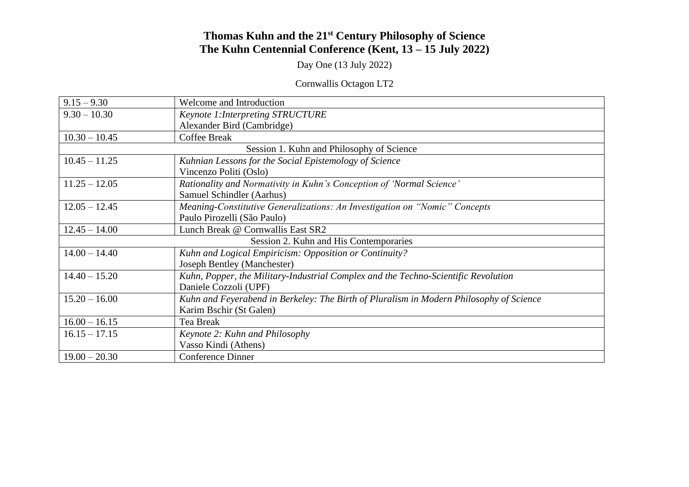## **Thomas Kuhn and the 21st Century Philosophy of Science The Kuhn Centennial Conference (Kent, 13 – 15 July 2022)**

Day One (13 July 2022)

## Cornwallis Octagon LT2

| $9.15 - 9.30$                             | Welcome and Introduction                                                                |  |
|-------------------------------------------|-----------------------------------------------------------------------------------------|--|
| $9.30 - 10.30$                            | Keynote 1: Interpreting STRUCTURE                                                       |  |
|                                           | Alexander Bird (Cambridge)                                                              |  |
| $10.30 - 10.45$                           | <b>Coffee Break</b>                                                                     |  |
| Session 1. Kuhn and Philosophy of Science |                                                                                         |  |
| $10.45 - 11.25$                           | Kuhnian Lessons for the Social Epistemology of Science                                  |  |
|                                           | Vincenzo Politi (Oslo)                                                                  |  |
| $11.25 - 12.05$                           | Rationality and Normativity in Kuhn's Conception of 'Normal Science'                    |  |
|                                           | Samuel Schindler (Aarhus)                                                               |  |
| $12.05 - 12.45$                           | Meaning-Constitutive Generalizations: An Investigation on "Nomic" Concepts              |  |
|                                           | Paulo Pirozelli (São Paulo)                                                             |  |
| $12.45 - 14.00$                           | Lunch Break @ Cornwallis East SR2                                                       |  |
| Session 2. Kuhn and His Contemporaries    |                                                                                         |  |
| $14.00 - 14.40$                           | Kuhn and Logical Empiricism: Opposition or Continuity?                                  |  |
|                                           | <b>Joseph Bentley (Manchester)</b>                                                      |  |
| $14.40 - 15.20$                           | Kuhn, Popper, the Military-Industrial Complex and the Techno-Scientific Revolution      |  |
|                                           | Daniele Cozzoli (UPF)                                                                   |  |
| $15.20 - 16.00$                           | Kuhn and Feyerabend in Berkeley: The Birth of Pluralism in Modern Philosophy of Science |  |
|                                           | Karim Bschir (St Galen)                                                                 |  |
| $16.00 - 16.15$                           | Tea Break                                                                               |  |
| $16.15 - 17.15$                           | Keynote 2: Kuhn and Philosophy                                                          |  |
|                                           | Vasso Kindi (Athens)                                                                    |  |
| $19.00 - 20.30$                           | <b>Conference Dinner</b>                                                                |  |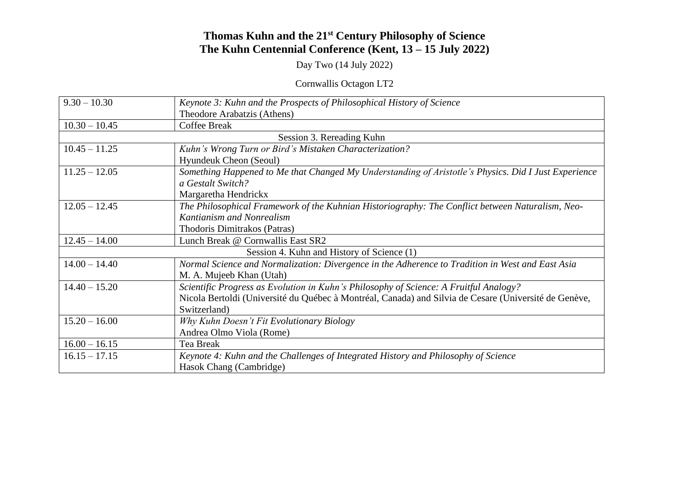## **Thomas Kuhn and the 21st Century Philosophy of Science The Kuhn Centennial Conference (Kent, 13 – 15 July 2022)**

Day Two (14 July 2022)

Cornwallis Octagon LT2

| $9.30 - 10.30$                             | Keynote 3: Kuhn and the Prospects of Philosophical History of Science                                 |
|--------------------------------------------|-------------------------------------------------------------------------------------------------------|
|                                            | Theodore Arabatzis (Athens)                                                                           |
| $10.30 - 10.45$                            | <b>Coffee Break</b>                                                                                   |
| Session 3. Rereading Kuhn                  |                                                                                                       |
| $10.45 - 11.25$                            | Kuhn's Wrong Turn or Bird's Mistaken Characterization?                                                |
|                                            | Hyundeuk Cheon (Seoul)                                                                                |
| $11.25 - 12.05$                            | Something Happened to Me that Changed My Understanding of Aristotle's Physics. Did I Just Experience  |
|                                            | a Gestalt Switch?                                                                                     |
|                                            | Margaretha Hendrickx                                                                                  |
| $12.05 - 12.45$                            | The Philosophical Framework of the Kuhnian Historiography: The Conflict between Naturalism, Neo-      |
|                                            | Kantianism and Nonrealism                                                                             |
|                                            | Thodoris Dimitrakos (Patras)                                                                          |
| $12.45 - 14.00$                            | Lunch Break @ Cornwallis East SR2                                                                     |
| Session 4. Kuhn and History of Science (1) |                                                                                                       |
| $14.00 - 14.40$                            | Normal Science and Normalization: Divergence in the Adherence to Tradition in West and East Asia      |
|                                            | M. A. Mujeeb Khan (Utah)                                                                              |
| $14.40 - 15.20$                            | Scientific Progress as Evolution in Kuhn's Philosophy of Science: A Fruitful Analogy?                 |
|                                            | Nicola Bertoldi (Université du Québec à Montréal, Canada) and Silvia de Cesare (Université de Genève, |
|                                            | Switzerland)                                                                                          |
| $15.20 - 16.00$                            | Why Kuhn Doesn't Fit Evolutionary Biology                                                             |
|                                            | Andrea Olmo Viola (Rome)                                                                              |
| $16.00 - 16.15$                            | Tea Break                                                                                             |
| $16.15 - 17.15$                            | Keynote 4: Kuhn and the Challenges of Integrated History and Philosophy of Science                    |
|                                            | Hasok Chang (Cambridge)                                                                               |